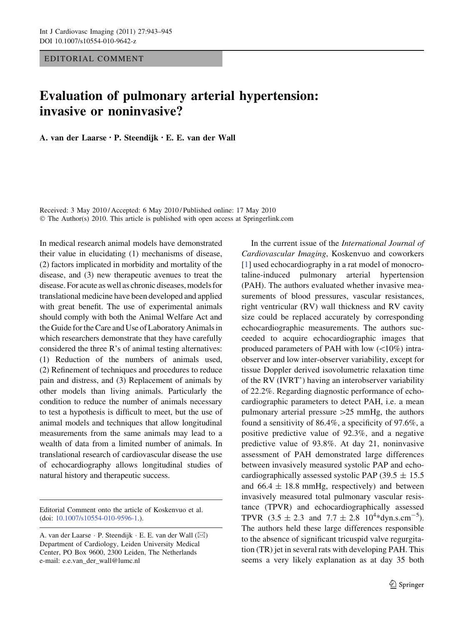EDITORIAL COMMENT

## Evaluation of pulmonary arterial hypertension: invasive or noninvasive?

A. van der Laarse • P. Steendijk • E. E. van der Wall

Received: 3 May 2010 / Accepted: 6 May 2010 / Published online: 17 May 2010 © The Author(s) 2010. This article is published with open access at Springerlink.com

In medical research animal models have demonstrated their value in elucidating (1) mechanisms of disease, (2) factors implicated in morbidity and mortality of the disease, and (3) new therapeutic avenues to treat the disease. For acute as well as chronic diseases, models for translational medicine have been developed and applied with great benefit. The use of experimental animals should comply with both the Animal Welfare Act and the Guide for the Care and Use of Laboratory Animals in which researchers demonstrate that they have carefully considered the three R's of animal testing alternatives: (1) Reduction of the numbers of animals used, (2) Refinement of techniques and procedures to reduce pain and distress, and (3) Replacement of animals by other models than living animals. Particularly the condition to reduce the number of animals necessary to test a hypothesis is difficult to meet, but the use of animal models and techniques that allow longitudinal measurements from the same animals may lead to a wealth of data from a limited number of animals. In translational research of cardiovascular disease the use of echocardiography allows longitudinal studies of natural history and therapeutic success.

Editorial Comment onto the article of Koskenvuo et al. (doi: [10.1007/s10554-010-9596-1](http://dx.doi.org/10.1007/s10554-010-9596-1).).

In the current issue of the International Journal of Cardiovascular Imaging, Koskenvuo and coworkers [\[1](#page-1-0)] used echocardiography in a rat model of monocrotaline-induced pulmonary arterial hypertension (PAH). The authors evaluated whether invasive measurements of blood pressures, vascular resistances, right ventricular (RV) wall thickness and RV cavity size could be replaced accurately by corresponding echocardiographic measurements. The authors succeeded to acquire echocardiographic images that produced parameters of PAH with low  $(<10\%)$  intraobserver and low inter-observer variability, except for tissue Doppler derived isovolumetric relaxation time of the RV (IVRT') having an interobserver variability of 22.2%. Regarding diagnostic performance of echocardiographic parameters to detect PAH, i.e. a mean pulmonary arterial pressure  $>25$  mmHg, the authors found a sensitivity of 86.4%, a specificity of 97.6%, a positive predictive value of 92.3%, and a negative predictive value of 93.8%. At day 21, noninvasive assessment of PAH demonstrated large differences between invasively measured systolic PAP and echocardiographically assessed systolic PAP (39.5  $\pm$  15.5 and  $66.4 \pm 18.8$  mmHg, respectively) and between invasively measured total pulmonary vascular resistance (TPVR) and echocardiographically assessed TPVR  $(3.5 \pm 2.3 \text{ and } 7.7 \pm 2.8 \text{ } 10^{4} \text{*dyn.s. cm}^{-5})$ . The authors held these large differences responsible to the absence of significant tricuspid valve regurgitation (TR) jet in several rats with developing PAH. This seems a very likely explanation as at day 35 both

A. van der Laarse ⋅ P. Steendijk ⋅ E. E. van der Wall (⊠) Department of Cardiology, Leiden University Medical Center, PO Box 9600, 2300 Leiden, The Netherlands e-mail: e.e.van\_der\_wall@lumc.nl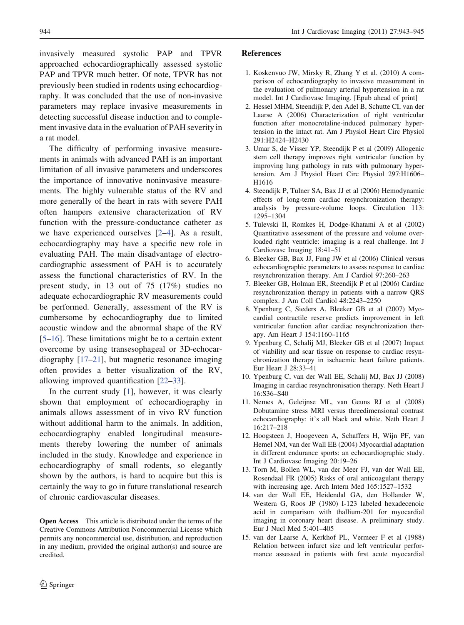<span id="page-1-0"></span>invasively measured systolic PAP and TPVR approached echocardiographically assessed systolic PAP and TPVR much better. Of note, TPVR has not previously been studied in rodents using echocardiography. It was concluded that the use of non-invasive parameters may replace invasive measurements in detecting successful disease induction and to complement invasive data in the evaluation of PAH severity in a rat model.

The difficulty of performing invasive measurements in animals with advanced PAH is an important limitation of all invasive parameters and underscores the importance of innovative noninvasive measurements. The highly vulnerable status of the RV and more generally of the heart in rats with severe PAH often hampers extensive characterization of RV function with the pressure-conductance catheter as we have experienced ourselves [2–4]. As a result, echocardiography may have a specific new role in evaluating PAH. The main disadvantage of electrocardiographic assessment of PAH is to accurately assess the functional characteristics of RV. In the present study, in 13 out of 75 (17%) studies no adequate echocardiographic RV measurements could be performed. Generally, assessment of the RV is cumbersome by echocardiography due to limited acoustic window and the abnormal shape of the RV [5[–16](#page-2-0)]. These limitations might be to a certain extent overcome by using transesophageal or 3D-echocardiography [\[17–21](#page-2-0)], but magnetic resonance imaging often provides a better visualization of the RV, allowing improved quantification [[22–33\]](#page-2-0).

In the current study  $[1]$ , however, it was clearly shown that employment of echocardiography in animals allows assessment of in vivo RV function without additional harm to the animals. In addition, echocardiography enabled longitudinal measurements thereby lowering the number of animals included in the study. Knowledge and experience in echocardiography of small rodents, so elegantly shown by the authors, is hard to acquire but this is certainly the way to go in future translational research of chronic cardiovascular diseases.

Open Access This article is distributed under the terms of the Creative Commons Attribution Noncommercial License which permits any noncommercial use, distribution, and reproduction in any medium, provided the original author(s) and source are credited.

## References

- 1. Koskenvuo JW, Mirsky R, Zhang Y et al. (2010) A comparison of echocardiography to invasive measurement in the evaluation of pulmonary arterial hypertension in a rat model. Int J Cardiovasc Imaging. [Epub ahead of print]
- 2. Hessel MHM, Steendijk P, den Adel B, Schutte CI, van der Laarse A (2006) Characterization of right ventricular function after monocrotaline-induced pulmonary hypertension in the intact rat. Am J Physiol Heart Circ Physiol 291:H2424–H2430
- 3. Umar S, de Visser YP, Steendijk P et al (2009) Allogenic stem cell therapy improves right ventricular function by improving lung pathology in rats with pulmonary hypertension. Am J Physiol Heart Circ Physiol 297:H1606– H1616
- 4. Steendijk P, Tulner SA, Bax JJ et al (2006) Hemodynamic effects of long-term cardiac resynchronization therapy: analysis by pressure-volume loops. Circulation 113: 1295–1304
- 5. Tulevski II, Romkes H, Dodge-Khatami A et al (2002) Quantitative assessment of the pressure and volume overloaded right ventricle: imaging is a real challenge. Int J Cardiovasc Imaging 18:41–51
- 6. Bleeker GB, Bax JJ, Fung JW et al (2006) Clinical versus echocardiographic parameters to assess response to cardiac resynchronization therapy. Am J Cardiol 97:260–263
- 7. Bleeker GB, Holman ER, Steendijk P et al (2006) Cardiac resynchronization therapy in patients with a narrow QRS complex. J Am Coll Cardiol 48:2243–2250
- 8. Ypenburg C, Sieders A, Bleeker GB et al (2007) Myocardial contractile reserve predicts improvement in left ventricular function after cardiac resynchronization therapy. Am Heart J 154:1160–1165
- 9. Ypenburg C, Schalij MJ, Bleeker GB et al (2007) Impact of viability and scar tissue on response to cardiac resynchronization therapy in ischaemic heart failure patients. Eur Heart J 28:33–41
- 10. Ypenburg C, van der Wall EE, Schalij MJ, Bax JJ (2008) Imaging in cardiac resynchronisation therapy. Neth Heart J 16:S36–S40
- 11. Nemes A, Geleijnse ML, van Geuns RJ et al (2008) Dobutamine stress MRI versus threedimensional contrast echocardiography: it's all black and white. Neth Heart J 16:217–218
- 12. Hoogsteen J, Hoogeveen A, Schaffers H, Wijn PF, van Hemel NM, van der Wall EE (2004) Myocardial adaptation in different endurance sports: an echocardiographic study. Int J Cardiovasc Imaging 20:19–26
- 13. Torn M, Bollen WL, van der Meer FJ, van der Wall EE, Rosendaal FR (2005) Risks of oral anticoagulant therapy with increasing age. Arch Intern Med 165:1527–1532
- 14. van der Wall EE, Heidendal GA, den Hollander W, Westera G, Roos JP (1980) I-123 labeled hexadecenoic acid in comparison with thallium-201 for myocardial imaging in coronary heart disease. A preliminary study. Eur J Nucl Med 5:401–405
- 15. van der Laarse A, Kerkhof PL, Vermeer F et al (1988) Relation between infarct size and left ventricular performance assessed in patients with first acute myocardial